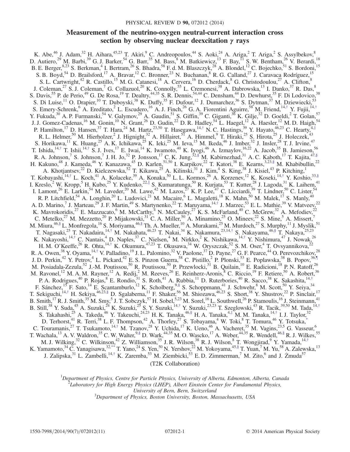# Measurement of the neutrino-oxygen neutral-current interaction cross section by observing nuclear deexcitation  $γ$  rays

<span id="page-0-4"></span>K. Abe,<sup>46</sup> J. Adam,<sup>32</sup> H. Aihara,<sup>45,23</sup> T. Akiri,<sup>9</sup> C. Andreopoulos,<sup>44</sup> S. Aoki,<sup>24</sup> A. Ariga,<sup>2</sup> T. Ariga,<sup>2</sup> S. Assylbekov,<sup>8</sup> D. Autiero,<sup>29</sup> M. Barbi,<sup>39</sup> G. J. Barker,<sup>54</sup> G. Barr,<sup>35</sup> M. Bass,<sup>8</sup> M. Batkiewicz,<sup>13</sup> F. Bay,<sup>11</sup> S. W. Bentham,<sup>26</sup> V. Berardi,<sup>18</sup> B. E. Berger,<sup>8,23</sup> S. Berkman,<sup>4</sup> I. Bertram,<sup>26</sup> S. Bhadra,<sup>58</sup> F. d. M. Blaszczyk,<sup>28</sup> A. Blondel,<sup>12</sup> C. Bojechko,<sup>51</sup> S. Bordoni,<sup>15</sup> S. B. Boyd,<sup>54</sup> D. Brailsford,<sup>17</sup> A. Bravar,<sup>12</sup> C. Bronner,<sup>23</sup> N. Buchanan,<sup>8</sup> R. G. Calland,<sup>27</sup> J. Caravaca Rodríguez,<sup>15</sup> S. L. Cartwright,<sup>42</sup> R. Castillo,<sup>15</sup> M. G. Catanesi,<sup>18</sup> A. Cervera,<sup>16</sup> D. Cherdack,<sup>8</sup> G. Christodoulou,<sup>27</sup> A. Clifton,<sup>8</sup> J. Coleman,<sup>27</sup> S. J. Coleman,<sup>7</sup> G. Collazuol,<sup>20</sup> K. Connolly,<sup>55</sup> L. Cremonesi,<sup>38</sup> A. Dabrowska,<sup>13</sup> I. Danko,<sup>37</sup> R. Das,<sup>8</sup> S. Davis, <sup>55</sup> P. de Perio, <sup>49</sup> G. De Rosa, <sup>19</sup> T. Dealtry, <sup>44,35</sup> S. R. Dennis, <sup>54,44</sup> C. Densham, <sup>44</sup> D. Dewhurst, <sup>35</sup> F. Di Lodovico, <sup>38</sup> S. Di Luise,<sup>11</sup> O. Drapier,<sup>10</sup> T. Duboyski,<sup>38</sup> K. Duffy,<sup>35</sup> F. Dufour,<sup>12</sup> J. Dumarchez,<sup>36</sup> S. Dytman,<sup>37</sup> M. Dziewiecki,<sup>53</sup> S. Emery-Schrenk,  $6$  A. Ereditato,  $2$  L. Escudero,  $16$  A. J. Finch,  $26$  G. A. Fiorentini Aguirre,  $58$  M. Friend,  $14, \dagger$  Y. Fujii,  $14, \dagger$ Y. Fukuda,<sup>30</sup> A. P. Furmanski,<sup>54</sup> V. Galymov,<sup>29</sup> A. Gaudin,<sup>51</sup> S. Giffin,<sup>39</sup> C. Giganti,<sup>36</sup> K. Gilje,<sup>32</sup> D. Goeldi,<sup>2</sup> T. Golan,<sup>57</sup> J. J. Gomez-Cadenas,<sup>16</sup> M. Gonin,<sup>10</sup> N. Grant,<sup>26</sup> D. Gudin,<sup>22</sup> D. R. Hadley,<sup>54</sup> L. Haegel,<sup>12</sup> A. Haesler,<sup>12</sup> M. D. Haigh,<sup>54</sup> P. Hamilton,<sup>17</sup> D. Hansen,<sup>37</sup> T. Hara,<sup>24</sup> M. Hartz,<sup>23,50</sup> T. Hasegawa,<sup>14,[†](#page-2-0)</sup> N. C. Hastings,<sup>39</sup> Y. Hayato,<sup>46,23</sup> C. Hearty,<sup>4,[‡](#page-2-1)</sup> R. L. Helmer,<sup>50</sup> M. Hierholzer,<sup>2</sup> J. Hignight,<sup>32</sup> A. Hillairet,<sup>5I</sup> A. Himmel,<sup>9</sup> T. Hiraki,<sup>25</sup> S. Hirota,<sup>25</sup> J. Holeczek,<sup>43</sup> S. Horikawa,<sup>11</sup> K. Huang,<sup>25</sup> A. K. Ichikawa,<sup>25</sup> K. Ieki,<sup>25</sup> M. Ieva,<sup>15</sup> M. Ikeda,<sup>46</sup> J. Imber,<sup>32</sup> J. Insler,<sup>28</sup> T. J. Irvine,<sup>47</sup> T. Ishida,<sup>14,[†](#page-2-0)</sup> T. Ishii,<sup>14,†</sup> S. J. Ives,<sup>17</sup> E. Iwai,<sup>14</sup> K. Iwamoto,<sup>40</sup> K. Iyogi,<sup>46</sup> A. Izmaylov,<sup>16,22</sup> A. Jacob,<sup>35</sup> B. Jamieson,<sup>56</sup> R. A. Johnson,<sup>7</sup> S. Johnson,<sup>7</sup> J. H. Jo,<sup>32</sup> P. Jonsson,<sup>17</sup> C. K. Jung,<sup>3[2,§](#page-2-2)</sup> M. Kabirnezhad,<sup>31</sup> A. C. Kaboth,<sup>17</sup> T. Kajita,<sup>47[,§](#page-2-2)</sup> H. Kakuno,<sup>48</sup> J. Kameda,<sup>46</sup> Y. Kanazawa,<sup>45</sup> D. Karlen,<sup>51,50</sup> I. Karpikov,<sup>22</sup> T. Katori,<sup>38</sup> E. Kearns,<sup>3,2[3,§](#page-2-2)</sup> M. Khabibullin,<sup>22</sup> A. Khotjantsev,<sup>22</sup> D. Kielczewska,<sup>52</sup> T. Kikawa,<sup>25</sup> A. Kilinski,<sup>31</sup> J. Kim,<sup>4</sup> S. King,<sup>38</sup> J. Kisiel,<sup>43</sup> P. Kitching,<sup>1</sup> T. Kobayashi,<sup>14,[†](#page-2-0)</sup> L. Koch,<sup>41</sup> A. Kolaceke,<sup>39</sup> A. Konaka,<sup>50</sup> L. L. Kormos,<sup>26</sup> A. Korzenev,<sup>12</sup> K. Koseki,<sup>14,†</sup> Y. Koshio,<sup>33[,§](#page-2-2)</sup> I. Kreslo,<sup>2</sup> W. Kropp,<sup>5</sup> H. Kubo,<sup>25</sup> Y. Kudenko,<sup>22,[∥](#page-2-3)</sup> S. Kumaratunga,<sup>50</sup> R. Kurjata,<sup>53</sup> T. Kutter,<sup>28</sup> J. Lagoda,<sup>31</sup> K. Laihem,<sup>41</sup> I. Lamont,<sup>26</sup> E. Larkin,<sup>54</sup> M. Laveder,<sup>20</sup> M. Lawe,<sup>42</sup> M. Lazos,<sup>27</sup> K. P. Lee,<sup>47</sup> C. Licciardi,<sup>39</sup> T. Lindner,<sup>50</sup> C. Lister,<sup>54</sup> R. P. Litchfield,<sup>54</sup> A. Longhin,<sup>20</sup> L. Ludovici,<sup>21</sup> M. Macaire,<sup>6</sup> L. Magaletti,<sup>18</sup> K. Mahn,<sup>50</sup> M. Malek,<sup>17</sup> S. Manly,<sup>40</sup> A. D. Marino,<sup>7</sup> J. Marteau,<sup>29</sup> J. F. Martin,<sup>49</sup> S. Martynenko,<sup>22</sup> T. Maruyama,<sup>14,[†](#page-2-0)</sup> J. Marzec,<sup>53</sup> E. L. Mathie,<sup>39</sup> V. Matveev,<sup>22</sup> K. Mavrokoridis,<sup>27</sup> E. Mazzucato,<sup>6</sup> M. McCarthy,<sup>4</sup> N. McCauley,<sup>27</sup> K. S. McFarland,<sup>40</sup> C. McGrew,<sup>32</sup> A. Mefodiev,<sup>22</sup> C. Metelko,<sup>27</sup> M. Mezzetto,<sup>20</sup> P. Mijakowski,<sup>31</sup> C. A. Miller,<sup>50</sup> A. Minamino,<sup>25</sup> O. Mineev,<sup>22</sup> S. Mine,<sup>5</sup> A. Missert,<sup>7</sup> M. Miura, <sup>4[6,§](#page-2-2)</sup> L. Monfregola, <sup>16</sup> S. Moriyama, <sup>46,§</sup> Th. A. Mueller, <sup>10</sup> A. Murakami, <sup>25</sup> M. Murdoch, <sup>27</sup> S. Murphy, <sup>11</sup> J. Myslik, <sup>51</sup> T. Nagasaki,<sup>25</sup> T. Nakadaira,<sup>14,[†](#page-2-0)</sup> M. Nakahata,<sup>46,23</sup> T. Nakai,<sup>34</sup> K. Nakamura,<sup>23,14,†</sup> S. Nakayama,<sup>46[,§](#page-2-2)</sup> T. Nakaya,<sup>25,23</sup> K. Nakayoshi,<sup>14,[†](#page-2-0)</sup> C. Nantais,<sup>4</sup> D. Naples,<sup>37</sup> C. Nielsen,<sup>4</sup> M. Nirkko,<sup>2</sup> K. Nishikawa,<sup>14,†</sup> Y. Nishimura,<sup>47</sup> J. Nowak,<sup>26</sup> H. M. O'Keeffe,<sup>26</sup> R. Ohta,<sup>14,[†](#page-2-0)</sup> K. Okumura,<sup>47,23</sup> T. Okusawa,<sup>34</sup> W. Oryszczak,<sup>52</sup> S. M. Oser,<sup>4</sup> T. Ovsyannikova,<sup>22</sup> R. A. Owen,  $38$  Y. Oyama,  $14,$ [†](#page-2-0) V. Palladino,  $19$  J. L. Palomino,  $32$  V. Paolone,  $37$  D. Payne,  $27$  G. F. Pearce,  $44$  O. Perevozchikov,  $28$ J. D. Perkin,<sup>42</sup> Y. Petrov,<sup>4</sup> L. Pickard,<sup>42</sup> E. S. Pinzon Guerra,<sup>58</sup> C. Pistillo,<sup>2</sup> P. Plonski,<sup>53</sup> E. Poplawska,<sup>38</sup> B. Popov,<sup>3[6,¶](#page-2-4)</sup> M. Posiadala-Zezula,<sup>52</sup> J.-M. Poutissou,<sup>50</sup> R. Poutissou,<sup>50</sup> P. Przewlocki,<sup>31</sup> B. Quilain,<sup>10</sup> E. Radicioni,<sup>18</sup> P. N. Ratoff,<sup>26</sup> M. Ravonel,<sup>12</sup> M. A. M. Rayner,<sup>12</sup> A. Redij,<sup>2</sup> M. Reeves,<sup>26</sup> E. Reinherz-Aronis,<sup>8</sup> C. Riccio,<sup>19</sup> F. Retiere,<sup>50</sup> A. Robert,<sup>36</sup> P. A. Rodrigues,<sup>40</sup> P. Rojas,<sup>8</sup> E. Rondio,<sup>31</sup> S. Roth,<sup>41</sup> A. Rubbia,<sup>11</sup> D. Ruterbories,<sup>40</sup> R. Sacco,<sup>38</sup> K. Sakashita,<sup>14,[†](#page-2-0)</sup> F. Sánchez,<sup>15</sup> F. Sato,<sup>14</sup> E. Scantamburlo,<sup>12</sup> K. Scholberg,<sup>9[,§](#page-2-2)</sup> S. Schoppmann,<sup>41</sup> J. Schwehr,<sup>8</sup> M. Scott,<sup>50</sup> Y. Seiya,<sup>34</sup> T. Sekiguchi,<sup>14,[†](#page-2-0)</sup> H. Sekiya,<sup>46,23[,§](#page-2-2)</sup> D. Sgalaberna,<sup>11</sup> F. Shaker,<sup>56</sup> M. Shiozawa,<sup>46,23</sup> S. Short,<sup>38</sup> Y. Shustrov,<sup>22</sup> P. Sinclair,<sup>17</sup> B. Smith,<sup>17</sup> R. J. Smith,<sup>35</sup> M. Smy,<sup>5</sup> J. T. Sobczyk,<sup>57</sup> H. Sobel,<sup>5,23</sup> M. Sorel,<sup>16</sup> L. Southwell,<sup>26</sup> P. Stamoulis,<sup>16</sup> J. Steinmann,<sup>41</sup> B. Still,<sup>38</sup> Y. Suda,<sup>45</sup> A. Suzuki,<sup>24</sup> K. Suzuki,<sup>25</sup> S. Y. Suzuki,<sup>14,[†](#page-2-0)</sup> Y. Suzuki,<sup>23,23</sup> T. Szeglowski,<sup>43</sup> R. Tacik,<sup>39,50</sup> M. Tada,<sup>14,†</sup> S. Takahashi,<sup>25</sup> A. Takeda,<sup>46</sup> Y. Takeuchi,<sup>24,23</sup> H. K. Tanaka,<sup>46[,§](#page-2-2)</sup> H. A. Tanaka,<sup>4,[‡](#page-2-1)</sup> M. M. Tanaka,<sup>14,[†](#page-2-0)</sup> I. J. Taylor,<sup>32</sup> D. Terhorst,<sup>41</sup> R. Terri,<sup>38</sup> L. F. Thompson,<sup>42</sup> A. Thorley,<sup>27</sup> S. Tobayama,<sup>4</sup> W. Toki,<sup>8</sup> T. Tomura,<sup>46</sup> Y. Totsuka,<sup>\*</sup> C. Touramanis,<sup>27</sup> T. Tsukamoto,<sup>14,[†](#page-2-0)</sup> M. Tzanov,<sup>28</sup> Y. Uchida,<sup>17</sup> K. Ueno,<sup>46</sup> A. Vacheret,<sup>35</sup> M. Vagins,<sup>23,5</sup> G. Vasseur,<sup>6</sup> T. Wachala, <sup>13</sup> A. V. Waldron, <sup>35</sup> C. W. Walter, <sup>9[,§](#page-2-2)</sup> D. Wark, <sup>44,35</sup> M. O. Wascko, <sup>17</sup> A. Weber, <sup>44,35</sup> R. Wendell, <sup>46,§</sup> R. J. Wilkes, <sup>55</sup> M. J. Wilking,<sup>32</sup> C. Wilkinson,<sup>42</sup> Z. Williamson,<sup>35</sup> J. R. Wilson,<sup>38</sup> R. J. Wilson,<sup>8</sup> T. Wongjirad,<sup>9</sup> Y. Yamada,<sup>14,[†](#page-2-0)</sup> K. Yamamoto,<sup>34</sup> C. Yanagisawa,<sup>32[,\\*\\*](#page-2-6)</sup> T. Yano,<sup>24</sup> S. Yen,<sup>50</sup> N. Yershov,<sup>22</sup> M. Yokoyama,<sup>45[,§](#page-2-2)</sup> T. Yuan,<sup>7</sup> M. Yu,<sup>58</sup> A. Zalewska,<sup>13</sup> J. Zalipska,<sup>31</sup> L. Zambelli,<sup>14,[†](#page-2-0)</sup> K. Zaremba,<sup>53</sup> M. Ziembicki,<sup>53</sup> E. D. Zimmerman,<sup>7</sup> M. Zito,<sup>6</sup> and J. Żmuda<sup>57</sup> (T2K Collaboration)

> <span id="page-0-5"></span><span id="page-0-3"></span><span id="page-0-2"></span><span id="page-0-1"></span><span id="page-0-0"></span>1  ${}^{1}$ Department of Physics, Centre for Particle Physics, University of Alberta, Edmonton, Alberta, Canada Laboratory for High Energy Physics (LHEP), Albert Einstein Center for Fundamental Physics, University of Bern, Bern, Switzerland <sup>3</sup> <sup>3</sup>Department of Physics, Boston University, Boston, Massachusetts, USA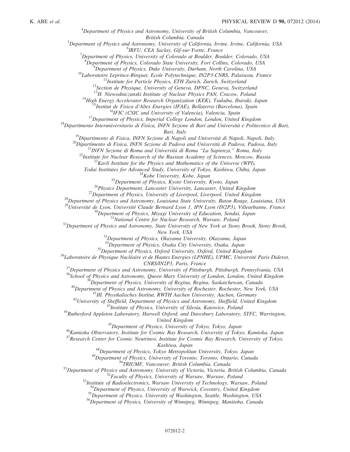${}^{4}$ Department of Physics and Astronomy, University of British Columbia, Vancouver,

British Columbia, Canada<br><sup>5</sup>Department of Physics and Astronomy University of Californ Department of Physics and Astronomy, University of California, Irvine, Irvine, California, USA<br><sup>6</sup>DELL CEA Saalay Cif sur Vustte, Exanae

<sup>o</sup>IRFU, CEA Saclay, Gif-sur-Yvette, France<br><sup>7</sup>Department of Physics, University of Colorado at Boulder, Boulder, Colorado, USA

<sup>8</sup>Department of Physics, Colorado State University, Fort Collins, Colorado, USA<br><sup>9</sup>Department of Physics, Duke University, Durham North Canolina, USA

<sup>9</sup>Department of Physics, Duke University, Durham, North Carolina, USA<br><sup>10</sup>Laboratoire Leprince-Ringuet, Ecole Polytechnique, IN2P3-CNRS, Palaiseau, France<br><sup>11</sup>Institute for Particle Physics, ETH Zurich, Zurich, Switzerla

<sup>14</sup>High Energy Accelerator Research Organization (KEK), Tsukuba, Ibaraki, Japan<br><sup>15</sup>Institut de Fisica d'Altes Energies (IFAE), Bellaterra (Barcelona), Spain<br><sup>16</sup>IFIC (CSIC and University of Valencia), Valencia, Spain<br><sup>1</sup>

Bari, Italy<br>
<sup>19</sup>Dipartimento di Fisica, INFN Sezione di Napoli and Università di Napoli, Napoli, Italy<br>
<sup>20</sup>Dipartimento di Fisica, INFN Sezione di Padova and Università di Padova, Padova, Italy<br>
<sup>21</sup>INFN Sezione di Roma

<sup>25</sup> Department of Physics, Kyoto University, Kyoto, Japan<br><sup>25</sup> Department of Physics, Kyoto University, Kyoto, Japan<br><sup>26</sup> Physics Department, Lancaster University, Lancaster, United Kingdom<br><sup>27</sup> Department of Physics, Un

<sup>30</sup>Department of Physics, Miyagi University of Education, Sendai, Japan<br><sup>31</sup>National Centre for Nuclear Research, Warsaw, Poland<br><sup>32</sup>Department of Physics and Astronomy, State University of New York at Stony Brook, Stony

New York, USA<br><sup>33</sup>Department of Physics, Okayama University, Okayama, Japan<br><sup>34</sup>Department of Physics, Osaka City University, Osaka, Japan

<sup>35</sup>Department of Physics, Oxford University, Oxford, United Kingdom<br><sup>36</sup>Laboratoire de Physique Nucléaire et de Hautes Energies (LPNHE), UPMC, Université Paris Diderot,

CNRS/IN2P3, Paris, France<br>
<sup>37</sup>Department of Physics and Astronomy, University of Pittsburgh, Pittsburgh, Pennsylvania, USA<br>
<sup>38</sup>School of Physics and Astronomy, Queen Mary University of London, London, United Kingdom<br>
<sup>39</sup>

United Kingdom<br><sup>45</sup>Department of Physics, University of Tokyo, Tokyo, Japan<br><sup>46</sup>Kamioka Observatory, Institute for Cosmic Ray Research, University of Tokyo, Kamioka, Japan<sup>46</sup>

<sup>47</sup> Research Center for Cosmic Neutrinos, Institute for Cosmic Ray Research, University of Tokyo,

*Kashiwa, Japan*<br><sup>48</sup>Department of Physics, Tokyo Metropolitan University, Tokyo, Japan<br><sup>49</sup>Department of Physics, University of Toronto, Toronto, Ontario, Canada<br><sup>50</sup>TRIUMF, Vancouver, British Columbia, Canada<br><sup>51</sup>Departm

 $55$ Department of Physics, University of Washington, Seattle, Washington, USA  $56$ Department of Physics, University of Winnipeg, Winnipeg, Manitoba, Canada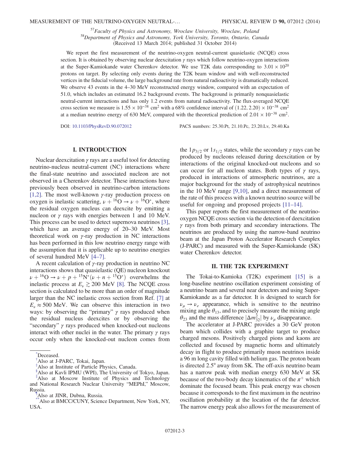$^{57}$ Faculty of Physics and Astronomy, Wroclaw University, Wroclaw, Poland  $^{58}$ Department of Physics and Astronomy, York University, Toronto, Ontario, Canada (Received 13 March 2014; published 31 October 2014)

We report the first measurement of the neutrino-oxygen neutral-current quasielastic (NCQE) cross section. It is obtained by observing nuclear deexcitation  $\gamma$  rays which follow neutrino-oxygen interactions at the Super-Kamiokande water Cherenkov detector. We use T2K data corresponding to  $3.01 \times 10^{20}$ protons on target. By selecting only events during the T2K beam window and with well-reconstructed vertices in the fiducial volume, the large background rate from natural radioactivity is dramatically reduced. We observe 43 events in the 4–30 MeV reconstructed energy window, compared with an expectation of 51.0, which includes an estimated 16.2 background events. The background is primarily nonquasielastic neutral-current interactions and has only 1.2 events from natural radioactivity. The flux-averaged NCQE cross section we measure is  $1.55 \times 10^{-38}$  cm<sup>2</sup> with a 68% confidence interval of  $(1.22, 2.20) \times 10^{-38}$  cm<sup>2</sup> at a median neutrino energy of 630 MeV, compared with the theoretical prediction of  $2.01 \times 10^{-38}$  cm<sup>2</sup>.

DOI: [10.1103/PhysRevD.90.072012](http://dx.doi.org/10.1103/PhysRevD.90.072012) PACS numbers: 25.30.Pt, 21.10.Pc, 23.20.Lv, 29.40.Ka

## I. INTRODUCTION

Nuclear deexcitation  $\gamma$  rays are a useful tool for detecting neutrino-nucleus neutral-current (NC) interactions where the final-state neutrino and associated nucleon are not observed in a Cherenkov detector. These interactions have previously been observed in neutrino-carbon interactions [\[1,2\].](#page-9-0) The most well-known  $\gamma$ -ray production process on oxygen is inelastic scattering,  $\nu + {}^{16}O \rightarrow \nu + {}^{16}O^*$ , where the residual oxygen nucleus can deexcite by emitting a nucleon or  $γ$  rays with energies between 1 and 10 MeV. This process can be used to detect supernova neutrinos [\[3\]](#page-9-1), which have an average energy of 20–30 MeV. Most theoretical work on  $\gamma$ -ray production in NC interactions has been performed in this low neutrino energy range with the assumption that it is applicable up to neutrino energies of several hundred MeV [\[4](#page-9-2)–7].

A recent calculation of  $\gamma$ -ray production in neutrino NC interactions shows that quasielastic (QE) nucleon knockout  $\nu + {}^{16}O \rightarrow \nu + p + {}^{15}N^*(\nu + n + {}^{15}O^*)$  overwhelms the inelastic process at  $F > 200$  MeV [8]. The NCOE cross inelastic process at  $E_{\nu} \gtrsim 200$  MeV [\[8\].](#page-9-3) The NCQE cross section is calculated to be more than an order of magnitude larger than the NC inelastic cross section from Ref. [\[7\]](#page-9-4) at  $E_v \approx 500$  MeV. We can observe this interaction in two ways: by observing the "primary"  $\gamma$  rays produced when the residual nucleus deexcites or by observing the "secondary"  $\gamma$  rays produced when knocked-out nucleons interact with other nuclei in the water. The primary  $\gamma$  rays occur only when the knocked-out nucleon comes from

- <span id="page-2-1"></span>[‡](#page-0-2) Also at Institute of Particle Physics, Canada.
- <span id="page-2-2"></span>[§](#page-0-3) Also at Kavli IPMU (WPI), The University of Tokyo, Japan.

the  $1p_{3/2}$  or  $1s_{1/2}$  states, while the secondary  $\gamma$  rays can be produced by nucleons released during deexcitation or by interactions of the original knocked-out nucleons and so can occur for all nucleon states. Both types of  $\gamma$  rays, produced in interactions of atmospheric neutrinos, are a major background for the study of astrophysical neutrinos in the 10 MeV range [\[9,10\]](#page-9-5), and a direct measurement of the rate of this process with a known neutrino source will be useful for ongoing and proposed projects [11–[14\].](#page-9-6)

This paper reports the first measurement of the neutrinooxygen NCQE cross section via the detection of deexcitation  $\gamma$  rays from both primary and secondary interactions. The neutrinos are produced by using the narrow-band neutrino beam at the Japan Proton Accelerator Research Complex (J-PARC) and measured with the Super-Kamiokande (SK) water Cherenkov detector.

### II. THE T2K EXPERIMENT

The Tokai-to-Kamioka (T2K) experiment [\[15\]](#page-9-7) is a long-baseline neutrino oscillation experiment consisting of a neutrino beam and several near detectors and using Super-Kamiokande as a far detector. It is designed to search for  $\nu_{\mu} \rightarrow \nu_{e}$  appearance, which is sensitive to the neutrino mixing angle  $\theta_{13}$ , and to precisely measure the mixing angle  $\theta_{23}$  and the mass difference  $|\Delta m_{32}^2|$  by  $\nu_\mu$  disappearance.<br>The accelerator at L-PARC provides a 30 GeV pro-

The accelerator at J-PARC provides a 30 GeV proton beam which collides with a graphite target to produce charged mesons. Positively charged pions and kaons are collected and focused by magnetic horns and ultimately decay in flight to produce primarily muon neutrinos inside a 96 m long cavity filled with helium gas. The proton beam is directed 2.5° away from SK. The off-axis neutrino beam has a narrow peak with median energy 630 MeV at SK because of the two-body decay kinematics of the  $\pi^+$  which dominate the focused beam. This peak energy was chosen because it corresponds to the first maximum in the neutrino oscillation probability at the location of the far detector. The narrow energy peak also allows for the measurement of

<span id="page-2-5"></span>[<sup>\\*</sup>](#page-0-0) Deceased.

<span id="page-2-0"></span>[<sup>†</sup>](#page-0-1) Also at J-PARC, Tokai, Japan.

<span id="page-2-3"></span>[<sup>∥</sup>](#page-0-4) Also at Moscow Institute of Physics and Technology and National Research Nuclear University "MEPhI," Moscow, Russia.

<span id="page-2-4"></span>[<sup>¶</sup>](#page-0-5) Also at JINR, Dubna, Russia.

<span id="page-2-6"></span><sup>\*</sup>Also at BMCC/CUNY, Science Department, New York, NY, USA.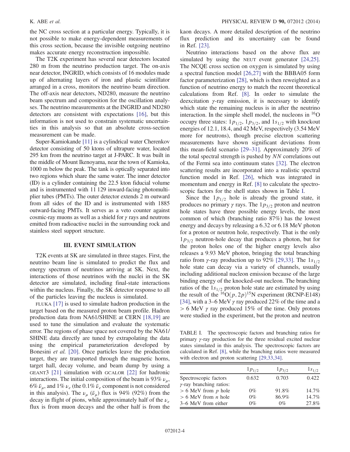the NC cross section at a particular energy. Typically, it is not possible to make energy-dependent measurements of this cross section, because the invisible outgoing neutrino makes accurate energy reconstruction impossible.

The T2K experiment has several near detectors located 280 m from the neutrino production target. The on-axis near detector, INGRID, which consists of 16 modules made up of alternating layers of iron and plastic scintillator arranged in a cross, monitors the neutrino beam direction. The off-axis near detectors, ND280, measure the neutrino beam spectrum and composition for the oscillation analyses. The neutrino measurements at the INGRID and ND280 detectors are consistent with expectations [\[16\]](#page-9-8), but this information is not used to constrain systematic uncertainties in this analysis so that an absolute cross-section measurement can be made.

Super-Kamiokande [\[11\]](#page-9-6) is a cylindrical water Cherenkov detector consisting of 50 ktons of ultrapure water, located 295 km from the neutrino target at J-PARC. It was built in the middle of Mount Ikenoyama, near the town of Kamioka, 1000 m below the peak. The tank is optically separated into two regions which share the same water. The inner detector (ID) is a cylinder containing the 22.5 kton fiducial volume and is instrumented with 11 129 inward-facing photomultiplier tubes (PMTs). The outer detector extends 2 m outward from all sides of the ID and is instrumented with 1885 outward-facing PMTs. It serves as a veto counter against cosmic-ray muons as well as a shield for  $\gamma$  rays and neutrons emitted from radioactive nuclei in the surrounding rock and stainless steel support structure.

## III. EVENT SIMULATION

T2K events at SK are simulated in three stages. First, the neutrino beam line is simulated to predict the flux and energy spectrum of neutrinos arriving at SK. Next, the interactions of those neutrinos with the nuclei in the SK detector are simulated, including final-state interactions within the nucleus. Finally, the SK detector response to all of the particles leaving the nucleus is simulated.

FLUKA [\[17\]](#page-9-9) is used to simulate hadron production in the target based on the measured proton beam profile. Hadron production data from NA61/SHINE at CERN [\[18,19\]](#page-9-10) are used to tune the simulation and evaluate the systematic error. The regions of phase space not covered by the NA61/ SHINE data directly are tuned by extrapolating the data using the empirical parameterization developed by Bonesini et al. [\[20\]](#page-9-11). Once particles leave the production target, they are transported through the magnetic horns, target hall, decay volume, and beam dump by using a GEANT3 [\[21\]](#page-9-12) simulation with GCALOR [\[22\]](#page-9-13) for hadronic interactions. The initial composition of the beam is 93%  $\nu_{\mu}$ , 6%  $\bar{\nu}_\mu$ , and 1%  $\nu_e$  (the 0.1%  $\bar{\nu}_e$  component is not considered in this analysis). The  $\nu_{\mu}$  ( $\bar{\nu}_{\mu}$ ) flux is 94% (92%) from the decay in flight of pions, while approximately half of the  $\nu_e$ flux is from muon decays and the other half is from the kaon decays. A more detailed description of the neutrino flux prediction and its uncertainty can be found in Ref. [\[23\]](#page-9-14).

Neutrino interactions based on the above flux are simulated by using the NEUT event generator [\[24,25\]](#page-9-15). The NCQE cross section on oxygen is simulated by using a spectral function model [\[26,27\]](#page-9-16) with the BBBA05 form factor parameterization [\[28\]](#page-9-17), which is then reweighted as a function of neutrino energy to match the recent theoretical calculations from Ref. [\[8\].](#page-9-3) In order to simulate the deexcitation  $\gamma$ -ray emission, it is necessary to identify which state the remaining nucleus is in after the neutrino interaction. In the simple shell model, the nucleons in  $^{16}O$ occupy three states:  $1p_{1/2}$ ,  $1p_{3/2}$ , and  $1s_{1/2}$  with knockout energies of 12.1, 18.4, and 42 MeV, respectively (3.54 MeV more for neutrons), though precise electron scattering measurements have shown significant deviations from this mean-field scenario [\[29](#page-9-18)–31]. Approximately 20% of the total spectral strength is pushed by NN correlations out of the Fermi sea into continuum states [\[32\].](#page-9-19) The electron scattering results are incorporated into a realistic spectral function model in Ref. [\[26\]](#page-9-16), which was integrated in momentum and energy in Ref. [\[8\]](#page-9-3) to calculate the spectroscopic factors for the shell states shown in Table [I](#page-3-0).

Since the  $1p_{1/2}$  hole is already the ground state, it produces no primary  $\gamma$  rays. The  $1p_{3/2}$  proton and neutron hole states have three possible energy levels, the most common of which (branching ratio 87%) has the lowest energy and decays by releasing a 6.32 or 6.18 MeV photon for a proton or neutron hole, respectively. That is the only  $1p_{3/2}$  neutron-hole decay that produces a photon, but for the proton holes one of the higher energy levels also releases a 9.93 MeV photon, bringing the total branching ratio from γ-ray production up to 92% [\[29,33\].](#page-9-18) The  $1s_{1/2}$ hole state can decay via a variety of channels, usually including additional nucleon emission because of the large binding energy of the knocked-out nucleon. The branching ratios of the  $1s_{1/2}$  proton hole state are estimated by using the result of the <sup>16</sup>O $(p, 2p)$ <sup>15</sup>N experiment (RCNP-E148) [\[34\]](#page-9-20), with a 3–6 MeV  $\gamma$  ray produced 22% of the time and a  $> 6$  MeV  $\gamma$  ray produced 15% of the time. Only protons were studied in the experiment, but the proton and neutron

<span id="page-3-0"></span>TABLE I. The spectroscopic factors and branching ratios for primary γ-ray production for the three residual excited nuclear states simulated in this analysis. The spectroscopic factors are calculated in Ref. [\[8\],](#page-9-3) while the branching ratios were measured with electron and proton scattering [\[29,33,34\].](#page-9-18)

|                                 | $1p_{1/2}$ | $1p_{3/2}$ | $1s_{1/2}$ |
|---------------------------------|------------|------------|------------|
| Spectroscopic factors           | 0.632      | 0.703      | 0.422      |
| $\gamma$ -ray branching ratios: |            |            |            |
| $> 6$ MeV from p hole           | $0\%$      | 91.8%      | $14.7\%$   |
| $> 6$ MeV from <i>n</i> hole    | $0\%$      | 86.9%      | 14.7%      |
| 3–6 MeV from either             | $0\%$      | $0\%$      | 27.8%      |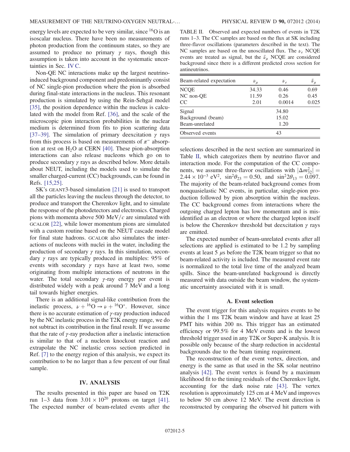energy levels are expected to be very similar, since <sup>16</sup>O is an isoscalar nucleus. There have been no measurements of photon production from the continuum states, so they are assumed to produce no primary  $\gamma$  rays, though this assumption is taken into account in the systematic uncertainties in Sec. [IV C](#page-6-0).

Non-QE NC interactions make up the largest neutrinoinduced background component and predominantly consist of NC single-pion production where the pion is absorbed during final-state interactions in the nucleus. This resonant production is simulated by using the Rein-Sehgal model [\[35\]](#page-9-21), the position dependence within the nucleus is calculated with the model from Ref. [\[36\]](#page-9-22), and the scale of the microscopic pion interaction probabilities in the nuclear medium is determined from fits to pion scattering data [\[37](#page-9-23)–39]. The simulation of primary deexcitation  $\gamma$  rays from this process is based on measurements of  $\pi^-$  absorption at rest on  $H_2O$  at CERN [\[40\].](#page-9-24) These pion-absorption interactions can also release nucleons which go on to produce secondary  $\gamma$  rays as described below. More details about NEUT, including the models used to simulate the smaller charged-current (CC) backgrounds, can be found in Refs. [\[15,25\].](#page-9-7)

SK's GEANT3-based simulation [\[21\]](#page-9-12) is used to transport all the particles leaving the nucleus through the detector, to produce and transport the Cherenkov light, and to simulate the response of the photodetectors and electronics. Charged pions with momenta above 500 MeV/ $c$  are simulated with GCALOR [\[22\],](#page-9-13) while lower momentum pions are simulated with a custom routine based on the NEUT cascade model for final state hadrons. GCALOR also simulates the interactions of nucleons with nuclei in the water, including the production of secondary  $\gamma$  rays. In this simulation, secondary  $\gamma$  rays are typically produced in multiples: 95% of events with secondary  $\gamma$  rays have at least two, some originating from multiple interactions of neutrons in the water. The total secondary  $\gamma$ -ray energy per event is distributed widely with a peak around 7 MeV and a long tail towards higher energies.

There is an additional signal-like contribution from the inelastic process,  $\nu + {}^{16}O \rightarrow \nu + {}^{16}O^*$ . However, since there is no accurate estimation of  $\gamma$ -ray production induced by the NC inelastic process in the T2K energy range, we do not subtract its contribution in the final result. If we assume that the rate of  $\gamma$ -ray production after a inelastic interaction is similar to that of a nucleon knockout reaction and extrapolate the NC inelastic cross section predicted in Ref. [\[7\]](#page-9-4) to the energy region of this analysis, we expect its contribution to be no larger than a few percent of our final sample.

## IV. ANALYSIS

The results presented in this paper are based on T2K run 1–3 data from  $3.01 \times 10^{20}$  protons on target [\[41\]](#page-9-25). The expected number of beam-related events after the <span id="page-4-0"></span>TABLE II. Observed and expected numbers of events in T2K runs 1–3. The CC samples are based on the flux at SK including three-flavor oscillations (parameters described in the text). The NC samples are based on the unoscillated flux. The  $\nu_e$  NCQE events are treated as signal, but the  $\bar{\nu}_u$  NCQE are considered background since there is a different predicted cross section for antineutrinos.

| Beam-related expectation | $\nu_\mu$ | $\nu_e$ | $\bar{\nu}_{\mu}$ |  |  |
|--------------------------|-----------|---------|-------------------|--|--|
| <b>NCQE</b>              | 34.33     | 0.46    | 0.69              |  |  |
| NC non-QE                | 11.59     | 0.26    | 0.45              |  |  |
| <sub>CC</sub>            | 2.01      | 0.0014  | 0.025             |  |  |
| Signal                   | 34.80     |         |                   |  |  |
| Background (beam)        | 15.02     |         |                   |  |  |
| Beam-unrelated           | 1.20      |         |                   |  |  |
| Observed events          | 43        |         |                   |  |  |

selections described in the next section are summarized in Table [II](#page-4-0), which categorizes them by neutrino flavor and interaction mode. For the computation of the CC components, we assume three-flavor oscillations with  $|\Delta m_{32}^2|$  =  $2.44 \times 10^{-3}$  eV<sup>2</sup> sin<sup>2</sup> $\theta_{12}$  = 0.50 and sin<sup>2</sup> $2\theta_{12}$  = 0.097  $2.44 \times 10^{-3}$  eV<sup>2</sup>,  $\sin^2 \theta_{23} = 0.50$ , and  $\sin^2 2\theta_{13} = 0.097$ . The majority of the beam-related background comes from nonquasielastic NC events, in particular, single-pion production followed by pion absorption within the nucleus. The CC background comes from interactions where the outgoing charged lepton has low momentum and is misidentified as an electron or where the charged lepton itself is below the Cherenkov threshold but deexcitation  $\gamma$  rays are emitted.

The expected number of beam-unrelated events after all selections are applied is estimated to be 1.2 by sampling events at least 5  $\mu$ s before the T2K beam trigger so that no beam-related activity is included. The measured event rate is normalized to the total live time of the analyzed beam spills. Since the beam-unrelated background is directly measured with data outside the beam window, the systematic uncertainty associated with it is small.

## A. Event selection

The event trigger for this analysis requires events to be within the 1 ms T2K beam window and have at least 25 PMT hits within 200 ns. This trigger has an estimated efficiency or 99.5% for 4 MeV events and is the lowest threshold trigger used in any T2K or Super-K analysis. It is possible only because of the sharp reduction in accidental backgrounds due to the beam timing requirement.

The reconstruction of the event vertex, direction, and energy is the same as that used in the SK solar neutrino analysis [\[42\]](#page-9-26). The event vertex is found by a maximum likelihood fit to the timing residuals of the Cherenkov light, accounting for the dark noise rate [\[43\]](#page-9-27). The vertex resolution is approximately 125 cm at 4 MeV and improves to below 50 cm above 12 MeV. The event direction is reconstructed by comparing the observed hit pattern with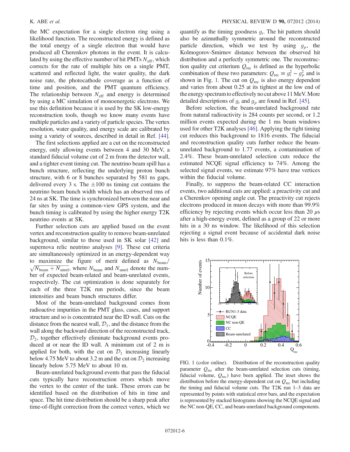the MC expectation for a single electron ring using a likelihood function. The reconstructed energy is defined as the total energy of a single electron that would have produced all Cherenkov photons in the event. It is calculated by using the effective number of hit PMTs  $N_{\text{eff}}$ , which corrects for the rate of multiple hits on a single PMT, scattered and reflected light, the water quality, the dark noise rate, the photocathode coverage as a function of time and position, and the PMT quantum efficiency. The relationship between  $N_{\text{eff}}$  and energy is determined by using a MC simulation of monoenergetic electrons. We use this definition because it is used by the SK low-energy reconstruction tools, though we know many events have multiple particles and a variety of particle species. The vertex resolution, water quality, and energy scale are calibrated by using a variety of sources, described in detail in Ref. [\[44\]](#page-10-0).

The first selections applied are a cut on the reconstructed energy, only allowing events between 4 and 30 MeV, a standard fiducial volume cut of 2 m from the detector wall, and a tighter event timing cut. The neutrino beam spill has a bunch structure, reflecting the underlying proton bunch structure, with 6 or 8 bunches separated by 581 ns gaps, delivered every 3 s. The  $\pm 100$  ns timing cut contains the neutrino beam bunch width which has an observed rms of 24 ns at SK. The time is synchronized between the near and far sites by using a common-view GPS system, and the bunch timing is calibrated by using the higher energy T2K neutrino events at SK.

Further selection cuts are applied based on the event vertex and reconstruction quality to remove beam-unrelated background, similar to those used in SK solar [\[42\]](#page-9-26) and supernova relic neutrino analyses [\[9\].](#page-9-5) These cut criteria are simultaneously optimized in an energy-dependent way to maximize the figure of merit defined as  $N_{\text{beam}}/$  $\sqrt{N_{\text{beam}}} + N_{\text{unrel}}$ , where  $N_{\text{beam}}$  and  $N_{\text{unrel}}$  denote the number of expected beam-related and beam-unrelated events, respectively. The cut optimization is done separately for each of the three T2K run periods, since the beam intensities and beam bunch structures differ.

Most of the beam-unrelated background comes from radioactive impurities in the PMT glass, cases, and support structure and so is concentrated near the ID wall. Cuts on the distance from the nearest wall,  $\mathcal{D}_1$ , and the distance from the wall along the backward direction of the reconstructed track,  $\mathcal{D}_2$ , together effectively eliminate background events produced at or near the ID wall. A minimum cut of 2 m is applied for both, with the cut on  $\mathcal{D}_1$  increasing linearly below 4.75 MeV to about 3.2 m and the cut on  $\mathcal{D}_2$  increasing linearly below 5.75 MeV to about 10 m.

Beam-unrelated background events that pass the fiducial cuts typically have reconstruction errors which move the vertex to the center of the tank. These errors can be identified based on the distribution of hits in time and space. The hit time distribution should be a sharp peak after time-of-flight correction from the correct vertex, which we quantify as the timing goodness  $g_t$ . The hit pattern should also be azimuthally symmetric around the reconstructed particle direction, which we test by using  $g_p$ , the Kolmogorov-Smirnov distance between the observed hit distribution and a perfectly symmetric one. The reconstruction quality cut criterium  $Q_{\text{rec}}$  is defined as the hyperbolic combination of these two parameters:  $Q_{\text{rec}} \equiv g_t^2 - g_p^2$  and is<br>shown in Fig. 1. The cut on  $Q_{\text{rel}}$  is also energy dependent shown in Fig. [1](#page-5-0). The cut on  $Q_{\text{rec}}$  is also energy dependent and varies from about 0.25 at its tightest at the low end of the energy spectrumto effectively no cut above 11 MeV.More detailed descriptions of  $g_t$  and  $g_p$  are found in Ref. [\[45\].](#page-10-1)

Before selection, the beam-unrelated background rate from natural radioactivity is 284 counts per second, or 1.2 million events expected during the 1 ms beam windows used for other T2K analyses [\[46\]](#page-10-2). Applying the tight timing cut reduces this background to 1816 events. The fiducial and reconstruction quality cuts further reduce the beamunrelated background to 1.77 events, a contamination of 2.4%. These beam-unrelated selection cuts reduce the estimated NCQE signal efficiency to 74%. Among the selected signal events, we estimate 97% have true vertices within the fiducial volume.

Finally, to suppress the beam-related CC interaction events, two additional cuts are applied: a preactivity cut and a Cherenkov opening angle cut. The preactivity cut rejects electrons produced in muon decays with more than 99.9% efficiency by rejecting events which occur less than 20  $\mu$ s after a high-energy event, defined as a group of 22 or more hits in a 30 ns window. The likelihood of this selection rejecting a signal event because of accidental dark noise hits is less than 0.1%.

<span id="page-5-0"></span>

FIG. 1 (color online). Distribution of the reconstruction quality parameter  $Q_{\text{rec}}$  after the beam-unrelated selection cuts (timing, fiducial volume,  $Q_{\text{rec}}$ ) have been applied. The inset shows the distribution before the energy-dependent cut on  $Q_{\text{rec}}$  but including the timing and fiducial volume cuts. The T2K run 1–3 data are represented by points with statistical error bars, and the expectation is represented by stacked histograms showing the NCQE signal and the NC non-QE, CC, and beam-unrelated background components.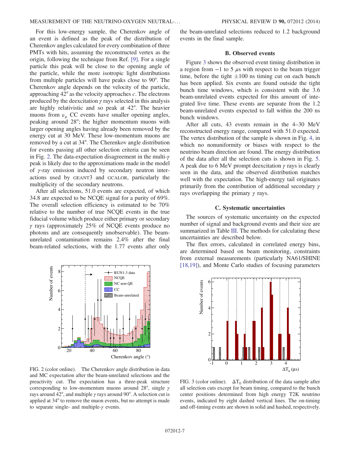For this low-energy sample, the Cherenkov angle of an event is defined as the peak of the distribution of Cherenkov angles calculated for every combination of three PMTs with hits, assuming the reconstructed vertex as the origin, following the technique from Ref. [\[9\]](#page-9-5). For a single particle this peak will be close to the opening angle of the particle, while the more isotropic light distributions from multiple particles will have peaks close to 90°. The Cherenkov angle depends on the velocity of the particle, approaching  $42^{\circ}$  as the velocity approaches c. The electrons produced by the deexcitation  $\gamma$  rays selected in this analysis are highly relativistic and so peak at 42°. The heavier muons from  $\nu_{\mu}$  CC events have smaller opening angles, peaking around 28°; the higher momentum muons with larger opening angles having already been removed by the energy cut at 30 MeV. These low-momentum muons are removed by a cut at 34°. The Cherenkov angle distribution for events passing all other selection criteria can be seen in Fig. [2](#page-6-1). The data-expectation disagreement in the multi-γ peak is likely due to the approximations made in the model of γ-ray emission induced by secondary neutron interactions used by GEANT3 and GCALOR, particularly the multiplicity of the secondary neutrons.

After all selections, 51.0 events are expected, of which 34.8 are expected to be NCQE signal for a purity of 69%. The overall selection efficiency is estimated to be 70% relative to the number of true NCQE events in the true fiducial volume which produce either primary or secondary  $γ$  rays (approximately 25% of NCQE events produce no photons and are consequently unobservable). The beamunrelated contamination remains 2.4% after the final beam-related selections, with the 1.77 events after only

<span id="page-6-1"></span>

FIG. 2 (color online). The Cherenkov angle distribution in data and MC expectation after the beam-unrelated selections and the preactivity cut. The expectation has a three-peak structure corresponding to low-momentum muons around 28°, single γ rays around 42°, and multiple  $\gamma$  rays around 90°. A selection cut is applied at 34° to remove the muon events, but no attempt is made to separate single- and multiple-γ events.

the beam-unrelated selections reduced to 1.2 background events in the final sample.

## B. Observed events

Figure [3](#page-6-2) shows the observed event timing distribution in a region from  $-1$  to 5  $\mu$ s with respect to the beam trigger time, before the tight  $\pm 100$  ns timing cut on each bunch has been applied. Six events are found outside the tight bunch time windows, which is consistent with the 3.6 beam-unrelated events expected for this amount of integrated live time. These events are separate from the 1.2 beam-unrelated events expected to fall within the 200 ns bunch windows.

After all cuts, 43 events remain in the 4–30 MeV reconstructed energy range, compared with 51.0 expected. The vertex distribution of the sample is shown in Fig. [4,](#page-7-0) in which no nonuniformity or biases with respect to the neutrino beam direction are found. The energy distribution of the data after all the selection cuts is shown in Fig. [5](#page-7-1). A peak due to 6 MeV prompt deexcitation  $\gamma$  rays is clearly seen in the data, and the observed distribution matches well with the expectation. The high-energy tail originates primarily from the contribution of additional secondary  $\gamma$ rays overlapping the primary  $\gamma$  rays.

### C. Systematic uncertainties

<span id="page-6-0"></span>The sources of systematic uncertainty on the expected number of signal and background events and their size are summarized in Table [III](#page-7-2). The methods for calculating these uncertainties are described below.

The flux errors, calculated in correlated energy bins, are determined based on beam monitoring, constraints from external measurements (particularly NA61/SHINE [\[18,19\]](#page-9-10)), and Monte Carlo studies of focusing parameters

<span id="page-6-2"></span>

FIG. 3 (color online).  $\Delta T_0$  distribution of the data sample after all selection cuts except for beam timing, compared to the bunch center positions determined from high energy T2K neutrino events, indicated by eight dashed vertical lines. The on-timing and off-timing events are shown in solid and hashed, respectively.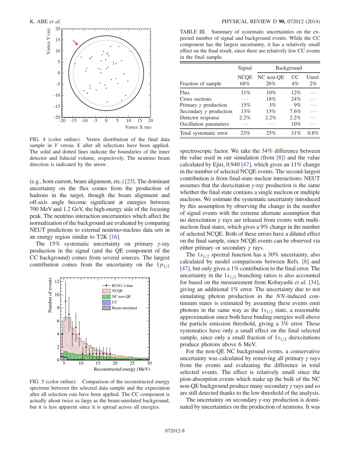<span id="page-7-0"></span>

FIG. 4 (color online). Vertex distribution of the final data sample in Y versus X after all selections have been applied. The solid and dotted lines indicate the boundaries of the inner detector and fiducial volume, respectively. The neutrino beam direction is indicated by the arrow.

(e.g., horn current, beam alignment, etc.) [\[23\].](#page-9-14) The dominant uncertainty on the flux comes from the production of hadrons in the target, though the beam alignment and off-axis angle become significant at energies between 700 MeV and 1.2 GeV, the high-energy side of the focusing peak. The neutrino interaction uncertainties which affect the normalization of the background are evaluated by comparing NEUT predictions to external neutrino-nucleus data sets in an energy region similar to T2K [\[16\]](#page-9-8).

The 15% systematic uncertainty on primary  $\gamma$ -ray production in the signal (and the QE component of the CC background) comes from several sources. The largest contribution comes from the uncertainty on the  $1p_{3/2}$ 

<span id="page-7-1"></span>

FIG. 5 (color online). Comparison of the reconstructed energy spectrum between the selected data sample and the expectation after all selection cuts have been applied. The CC component is actually about twice as large as the beam-unrelated background, but it is less apparent since it is spread across all energies.

<span id="page-7-2"></span>TABLE III. Summary of systematic uncertainties on the expected number of signal and background events. While the CC component has the largest uncertainty, it has a relatively small effect on the final result, since there are relatively few CC events in the final sample.

|                               | Signal             | Background       |              |                 |
|-------------------------------|--------------------|------------------|--------------|-----------------|
| Fraction of sample            | <b>NCQE</b><br>68% | NC non-OE<br>26% | CC.<br>$4\%$ | Unrel.<br>$2\%$ |
| Flux                          | 11%                | 10%              | 12%          |                 |
| Cross sections                | .                  | 18%              | 24%          |                 |
| Primary $\gamma$ production   | 15%                | 3%               | 9%           |                 |
| Secondary $\gamma$ production | 13%                | 13%              | 7.6%         |                 |
| Detector response             | $2.2\%$            | 2.2%             | 2.2%         |                 |
| Oscillation parameters        |                    |                  | $10\%$       |                 |
| Total systematic error        | 23%                | 25%              | 31%          | $0.8\%$         |

spectroscopic factor. We take the 34% difference between the value used in our simulation (from [\[8\]\)](#page-9-3) and the value calculated by Ejiri, 0.940 [\[47\]](#page-10-3), which gives an 11% change in the number of selected NCQE events. The second-largest contribution is from final-state nuclear interactions: NEUT assumes that the deexcitation  $\gamma$ -ray production is the same whether the final state contains a single nucleon or multiple nucleons. We estimate the systematic uncertainty introduced by this assumption by observing the change in the number of signal events with the extreme alternate assumption that no deexcitation γ rays are released from events with multinucleon final states, which gives a 9% change in the number of selected NCQE. Both of these errors have a diluted effect on the final sample, since NCQE events can be observed via either primary or secondary  $\gamma$  rays.

The  $1s_{1/2}$  spectral function has a 30% uncertainty, also calculated by model comparisons between Refs. [\[8\]](#page-9-3) and [\[47\]](#page-10-3), but only gives a 1% contribution to the final error. The uncertainty in the  $1s_{1/2}$  branching ratios is also accounted for based on the measurement from Kobayashi et al. [\[34\]](#page-9-20), giving an additional 1% error. The uncertainty due to not simulating photon production in the NN-induced continuum states is estimated by assuming these events emit photons in the same way as the  $1s_{1/2}$  state, a reasonable approximation since both have binding energies well above the particle emission threshold, giving a 3% error. These systematics have only a small effect on the final selected sample, since only a small fraction of  $1s_{1/2}$  deexcitations produce photons above 6 MeV.

For the non-QE NC background events, a conservative uncertainty was calculated by removing all primary  $\gamma$  rays from the events and evaluating the difference in total selected events. The effect is relatively small since the pion-absorption events which make up the bulk of the NC non-QE background produce many secondary  $\gamma$  rays and so are still detected thanks to the low threshold of the analysis.

The uncertainty on secondary  $\gamma$ -ray production is dominated by uncertainties on the production of neutrons. It was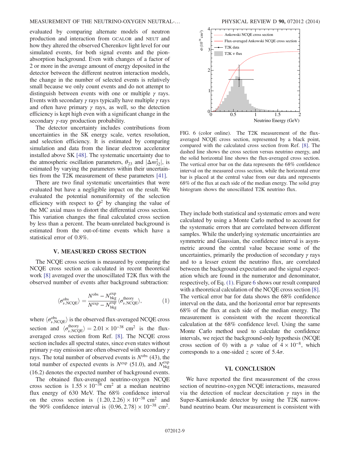## MEASUREMENT OF THE NEUTRINO-OXYGEN NEUTRAL-… PHYSICAL REVIEW D 90, 072012 (2014)

evaluated by comparing alternate models of neutron production and interaction from GCALOR and NEUT and how they altered the observed Cherenkov light level for our simulated events, for both signal events and the pionabsorption background. Even with changes of a factor of 2 or more in the average amount of energy deposited in the detector between the different neutron interaction models, the change in the number of selected events is relatively small because we only count events and do not attempt to distinguish between events with one or multiple  $\gamma$  rays. Events with secondary  $\gamma$  rays typically have multiple  $\gamma$  rays and often have primary  $\gamma$  rays, as well, so the detection efficiency is kept high even with a significant change in the secondary  $\gamma$ -ray production probability.

The detector uncertainty includes contributions from uncertainties in the SK energy scale, vertex resolution, and selection efficiency. It is estimated by comparing simulation and data from the linear electron accelerator installed above SK [\[48\].](#page-10-4) The systematic uncertainty due to the atmospheric oscillation parameters,  $\theta_{23}$  and  $|\Delta m_{32}^2|$ , is estimated by varying the parameters within their uncertainestimated by varying the parameters within their uncertainties from the T2K measurement of these parameters [\[41\]](#page-9-25).

There are two final systematic uncertainties that were evaluated but have a negligible impact on the result. We evaluated the potential nonuniformity of the selection efficiency with respect to  $Q^2$  by changing the value of the MC axial mass to distort the differential cross section. This variation changes the final calculated cross section by less than a percent. The beam-unrelated background is estimated from the out-of-time events which have a statistical error of 0.8%.

## V. MEASURED CROSS SECTION

<span id="page-8-0"></span>The NCQE cross section is measured by comparing the NCQE cross section as calculated in recent theoretical work [\[8\]](#page-9-3) averaged over the unoscillated T2K flux with the observed number of events after background subtraction:

$$
\langle \sigma_{\nu, \text{NCQE}}^{\text{obs}} \rangle = \frac{N^{\text{obs}} - N^{\text{exp}}_{\text{bkg}}}{N^{\text{exp}} - N^{\text{exp}}_{\text{bkg}}} \langle \sigma_{\nu, \text{NCQE}}^{\text{theory}} \rangle, \tag{1}
$$

where  $\langle \sigma_{\nu, NCCE}^{\text{obs}} \rangle$  is the observed flux-averaged NCQE cross section and  $\langle \sigma_{\nu, NCCE}^{\text{theory}} \rangle = 2.01 \times 10^{-38} \text{ cm}^2$  is the flux-<br>system cross section from Bot [81, The NCOE cross averaged cross section from Ref. [\[8\].](#page-9-3) The NCQE cross section includes all spectral states, since even states without primary  $\gamma$ -ray emission are often observed with secondary  $\gamma$ rays. The total number of observed events is  $N<sup>obs</sup>$  (43), the total number of expected events is  $N^{\text{exp}}$  (51.0), and  $N^{\text{exp}}_{bkg}$ <br>(16.2) denotes the expected number of beckground events (16.2) denotes the expected number of background events.

The obtained flux-averaged neutrino-oxygen NCQE cross section is  $1.55 \times 10^{-38}$  cm<sup>2</sup> at a median neutrino flux energy of 630 MeV. The 68% confidence interval on the cross section is  $(1.20, 2.26) \times 10^{-38}$  cm<sup>2</sup> and the 90% confidence interval is  $(0.96, 2.78) \times 10^{-38}$  cm<sup>2</sup>.

<span id="page-8-1"></span>

FIG. 6 (color online). The T2K measurement of the fluxaveraged NCQE cross section, represented by a black point, compared with the calculated cross section from Ref. [\[8\]](#page-9-3). The dashed line shows the cross section versus neutrino energy, and the solid horizontal line shows the flux-averaged cross section. The vertical error bar on the data represents the 68% confidence interval on the measured cross section, while the horizontal error bar is placed at the central value from our data and represents 68% of the flux at each side of the median energy. The solid gray histogram shows the unoscillated T2K neutrino flux.

They include both statistical and systematic errors and were calculated by using a Monte Carlo method to account for the systematic errors that are correlated between different samples. While the underlying systematic uncertainties are symmetric and Gaussian, the confidence interval is asymmetric around the central value because some of the uncertainties, primarily the production of secondary  $\gamma$  rays and to a lesser extent the neutrino flux, are correlated between the background expectation and the signal expectation which are found in the numerator and denominator, respectively, of Eq. [\(1\)](#page-8-0). Figure [6](#page-8-1) shows our result compared with a theoretical calculation of the NCQE cross section [\[8\]](#page-9-3). The vertical error bar for data shows the 68% confidence interval on the data, and the horizontal error bar represents 68% of the flux at each side of the median energy. The measurement is consistent with the recent theoretical calculation at the 68% confidence level. Using the same Monte Carlo method used to calculate the confidence intervals, we reject the background-only hypothesis (NCQE cross section of 0) with a p value of  $4 \times 10^{-8}$ , which corresponds to a one-sided z score of  $5.4\sigma$ .

## VI. CONCLUSION

We have reported the first measurement of the cross section of neutrino-oxygen NCQE interactions, measured via the detection of nuclear deexcitation γ rays in the Super-Kamiokande detector by using the T2K narrowband neutrino beam. Our measurement is consistent with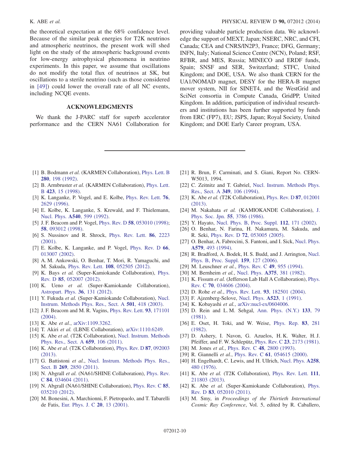the theoretical expectation at the 68% confidence level. Because of the similar peak energies for T2K neutrinos and atmospheric neutrinos, the present work will shed light on the study of the atmospheric background events for low-energy astrophysical phenomena in neutrino experiments. In this paper, we assume that oscillations do not modify the total flux of neutrinos at SK, but oscillations to a sterile neutrino (such as those considered in [\[49\]\)](#page-10-5) could lower the overall rate of all NC events, including NCQE events.

## ACKNOWLEDGMENTS

We thank the J-PARC staff for superb accelerator performance and the CERN NA61 Collaboration for

K. ABE *et al.* **PHYSICAL REVIEW D 90, 072012 (2014) PHYSICAL REVIEW D 90, 072012 (2014)** 

providing valuable particle production data. We acknowledge the support of MEXT, Japan; NSERC, NRC, and CFI, Canada; CEA and CNRS/IN2P3, France; DFG, Germany; INFN, Italy; National Science Centre (NCN), Poland; RSF, RFBR, and MES, Russia; MINECO and ERDF funds, Spain; SNSF and SER, Switzerland; STFC, United Kingdom; and DOE, USA. We also thank CERN for the UA1/NOMAD magnet, DESY for the HERA-B magnet mover system, NII for SINET4, and the WestGrid and SciNet consortia in Compute Canada, GridPP, United Kingdom. In addition, participation of individual researchers and institutions has been further supported by funds from ERC (FP7), EU; JSPS, Japan; Royal Society, United Kingdom; and DOE Early Career program, USA.

- <span id="page-9-0"></span>[1] B. Bodmann et al. (KARMEN Collaboration), [Phys. Lett. B](http://dx.doi.org/10.1016/0370-2693(92)90055-9) 280[, 198 \(1992\)](http://dx.doi.org/10.1016/0370-2693(92)90055-9).
- [2] B. Armbruster et al. (KARMEN Collaboration), [Phys. Lett.](http://dx.doi.org/10.1016/S0370-2693(98)00087-2) B 423[, 15 \(1998\)](http://dx.doi.org/10.1016/S0370-2693(98)00087-2).
- <span id="page-9-1"></span>[3] K. Langanke, P. Vogel, and E. Kolbe, [Phys. Rev. Lett.](http://dx.doi.org/10.1103/PhysRevLett.76.2629) 76, [2629 \(1996\)](http://dx.doi.org/10.1103/PhysRevLett.76.2629).
- <span id="page-9-2"></span>[4] E. Kolbe, K. Langanke, S. Krewald, and F. Thielemann, Nucl. Phys. A540[, 599 \(1992\)](http://dx.doi.org/10.1016/0375-9474(92)90175-J).
- [5] J. F. Beacom and P. Vogel, *Phys. Rev. D* 58[, 053010 \(1998\)](http://dx.doi.org/10.1103/PhysRevD.58.053010); 58[, 093012 \(1998\).](http://dx.doi.org/10.1103/PhysRevD.58.093012)
- [6] S. Nussinov and R. Shrock, [Phys. Rev. Lett.](http://dx.doi.org/10.1103/PhysRevLett.86.2223) 86, 2223 [\(2001\).](http://dx.doi.org/10.1103/PhysRevLett.86.2223)
- <span id="page-9-4"></span>[7] E. Kolbe, K. Langanke, and P. Vogel, [Phys. Rev. D](http://dx.doi.org/10.1103/PhysRevD.66.013007) 66, [013007 \(2002\).](http://dx.doi.org/10.1103/PhysRevD.66.013007)
- <span id="page-9-3"></span>[8] A. M. Ankowski, O. Benhar, T. Mori, R. Yamaguchi, and M. Sakuda, Phys. Rev. Lett. 108[, 052505 \(2012\)](http://dx.doi.org/10.1103/PhysRevLett.108.052505).
- <span id="page-9-5"></span>[9] K. Bays et al. (Super-Kamiokande Collaboration), [Phys.](http://dx.doi.org/10.1103/PhysRevD.85.052007) Rev. D 85[, 052007 \(2012\)](http://dx.doi.org/10.1103/PhysRevD.85.052007).
- [10] K. Ueno et al. (Super-Kamiokande Collaboration), [Astropart. Phys.](http://dx.doi.org/10.1016/j.astropartphys.2012.05.008) 36, 131 (2012).
- <span id="page-9-6"></span>[11] Y. Fukuda et al. (Super-Kamiokande Collaboration), [Nucl.](http://dx.doi.org/10.1016/S0168-9002(03)00425-X) [Instrum. Methods Phys. Res., Sect. A](http://dx.doi.org/10.1016/S0168-9002(03)00425-X) 501, 418 (2003).
- [12] J. F. Beacom and M. R. Vagins, [Phys. Rev. Lett.](http://dx.doi.org/10.1103/PhysRevLett.93.171101) 93, 171101 [\(2004\).](http://dx.doi.org/10.1103/PhysRevLett.93.171101)
- [13] K. Abe *et al.*, [arXiv:1109.3262.](http://arXiv.org/abs/1109.3262)
- [14] T. Akiri et al. (LBNE Collaboration), [arXiv:1110.6249.](http://arXiv.org/abs/1110.6249)
- <span id="page-9-7"></span>[15] K. Abe et al. (T2K Collaboration), [Nucl. Instrum. Methods](http://dx.doi.org/10.1016/j.nima.2011.06.067) [Phys. Res., Sect. A](http://dx.doi.org/10.1016/j.nima.2011.06.067) 659, 106 (2011).
- <span id="page-9-8"></span>[16] K. Abe et al. (T2K Collaboration), [Phys. Rev. D](http://dx.doi.org/10.1103/PhysRevD.87.092003) 87, 092003 [\(2013\).](http://dx.doi.org/10.1103/PhysRevD.87.092003)
- <span id="page-9-9"></span>[17] G. Battistoni et al., [Nucl. Instrum. Methods Phys. Res.,](http://dx.doi.org/10.1016/j.nimb.2011.04.028) Sect. B 269[, 2850 \(2011\).](http://dx.doi.org/10.1016/j.nimb.2011.04.028)
- <span id="page-9-10"></span>[18] N. Abgrall et al. (NA61/SHINE Collaboration), [Phys. Rev.](http://dx.doi.org/10.1103/PhysRevC.84.034604) C 84[, 034604 \(2011\).](http://dx.doi.org/10.1103/PhysRevC.84.034604)
- [19] N. Abgrall (NA61/SHINE Collaboration), [Phys. Rev. C](http://dx.doi.org/10.1103/PhysRevC.85.035210) 85, [035210 \(2012\).](http://dx.doi.org/10.1103/PhysRevC.85.035210)
- <span id="page-9-11"></span>[20] M. Bonesini, A. Marchionni, F. Pietropaolo, and T. Tabarelli de Fatis, [Eur. Phys. J. C](http://dx.doi.org/10.1007/s100520100656) 20, 13 (2001).
- <span id="page-9-12"></span>[21] R. Brun, F. Carminati, and S. Giani, Report No. CERN-W5013, 1994.
- <span id="page-9-13"></span>[22] C. Zeitnitz and T. Gabriel, [Nucl. Instrum. Methods Phys.](http://dx.doi.org/10.1016/0168-9002(94)90613-0) [Res., Sect. A](http://dx.doi.org/10.1016/0168-9002(94)90613-0) 349, 106 (1994).
- <span id="page-9-14"></span>[23] K. Abe et al. (T2K Collaboration), [Phys. Rev. D](http://dx.doi.org/10.1103/PhysRevD.87.012001) 87, 012001 [\(2013\).](http://dx.doi.org/10.1103/PhysRevD.87.012001)
- <span id="page-9-15"></span>[24] M. Nakahata et al. (KAMIOKANDE Collaboration), [J.](http://dx.doi.org/10.1143/JPSJ.55.3786) [Phys. Soc. Jpn.](http://dx.doi.org/10.1143/JPSJ.55.3786) 55, 3786 (1986).
- [25] Y. Hayato, [Nucl. Phys. B, Proc. Suppl.](http://dx.doi.org/10.1016/S0920-5632(02)01759-0) 112, 171 (2002).
- <span id="page-9-16"></span>[26] O. Benhar, N. Farina, H. Nakamura, M. Sakuda, and R. Seki, Phys. Rev. D 72[, 053005 \(2005\).](http://dx.doi.org/10.1103/PhysRevD.72.053005)
- [27] O. Benhar, A. Fabrocini, S. Fantoni, and I. Sick, [Nucl. Phys.](http://dx.doi.org/10.1016/0375-9474(94)90920-2) A579[, 493 \(1994\)](http://dx.doi.org/10.1016/0375-9474(94)90920-2).
- <span id="page-9-17"></span>[28] R. Bradford, A. Bodek, H. S. Budd, and J. Arrington, [Nucl.](http://dx.doi.org/10.1016/j.nuclphysbps.2006.08.028) [Phys. B, Proc. Suppl.](http://dx.doi.org/10.1016/j.nuclphysbps.2006.08.028) 159, 127 (2006).
- <span id="page-9-18"></span>[29] M. Leuschner et al., [Phys. Rev. C](http://dx.doi.org/10.1103/PhysRevC.49.955) 49, 955 (1994).
- [30] M. Bernheim et al., Nucl. Phys. A375[, 381 \(1982\).](http://dx.doi.org/10.1016/0375-9474(82)90020-3)
- [31] K. Fissum et al. (Jefferson Lab Hall A Collaboration), [Phys.](http://dx.doi.org/10.1103/PhysRevC.70.034606) Rev. C 70[, 034606 \(2004\).](http://dx.doi.org/10.1103/PhysRevC.70.034606)
- <span id="page-9-19"></span>[32] D. Rohe et al., Phys. Rev. Lett. 93[, 182501 \(2004\)](http://dx.doi.org/10.1103/PhysRevLett.93.182501).
- [33] F. Ajzenberg-Selove, [Nucl. Phys.](http://dx.doi.org/10.1016/0375-9474(91)90446-D) **A523**, 1 (1991).
- <span id="page-9-20"></span>[34] K. Kobayashi et al., [arXiv:nucl-ex/0604006.](http://arXiv.org/abs/nucl-ex/0604006)
- <span id="page-9-21"></span>[35] D. Rein and L. M. Sehgal, [Ann. Phys. \(N.Y.\)](http://dx.doi.org/10.1016/0003-4916(81)90242-6) 133, 79 [\(1981\).](http://dx.doi.org/10.1016/0003-4916(81)90242-6)
- <span id="page-9-22"></span>[36] E. Oset, H. Toki, and W. Weise, [Phys. Rep.](http://dx.doi.org/10.1016/0370-1573(82)90123-5) 83, 281 [\(1982\).](http://dx.doi.org/10.1016/0370-1573(82)90123-5)
- <span id="page-9-23"></span>[37] D. Ashery, I. Navon, G. Azuelos, H. K. Walter, H. J. Pfeiffer, and F. W. Schlepütz, Phys. Rev. C 23[, 2173 \(1981\).](http://dx.doi.org/10.1103/PhysRevC.23.2173)
- [38] M. Jones et al., Phys. Rev. C 48[, 2800 \(1993\)](http://dx.doi.org/10.1103/PhysRevC.48.2800).
- [39] R. Giannelli et al., Phys. Rev. C 61[, 054615 \(2000\).](http://dx.doi.org/10.1103/PhysRevC.61.054615)
- <span id="page-9-24"></span>[40] H. Engelhardt, C. Lewis, and H. Ullrich, [Nucl. Phys.](http://dx.doi.org/10.1016/0375-9474(76)90486-3) A258, [480 \(1976\)](http://dx.doi.org/10.1016/0375-9474(76)90486-3).
- <span id="page-9-25"></span>[41] K. Abe et al. (T2K Collaboration), [Phys. Rev. Lett.](http://dx.doi.org/10.1103/PhysRevLett.111.211803) 111, [211803 \(2013\).](http://dx.doi.org/10.1103/PhysRevLett.111.211803)
- <span id="page-9-26"></span>[42] K. Abe et al. (Super-Kamiokande Collaboration), [Phys.](http://dx.doi.org/10.1103/PhysRevD.83.052010) Rev. D 83[, 052010 \(2011\)](http://dx.doi.org/10.1103/PhysRevD.83.052010).
- <span id="page-9-27"></span>[43] M. Smy, in Proceedings of the Thirtieth International Cosmic Ray Conference, Vol. 5, edited by R. Caballero,